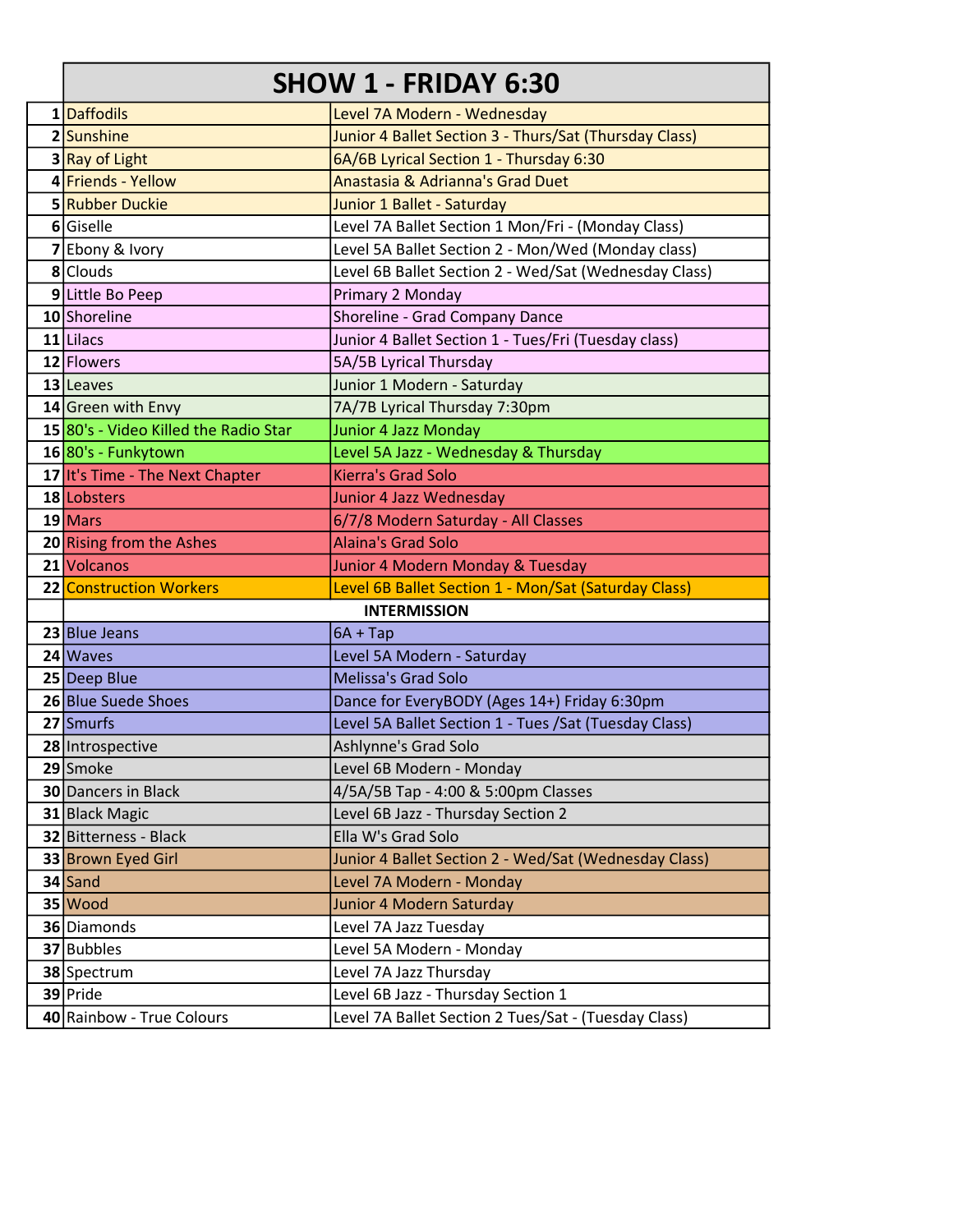### SHOW 1 - FRIDAY 6:30

| 1 Daffodils                           | Level 7A Modern - Wednesday                            |
|---------------------------------------|--------------------------------------------------------|
| 2 Sunshine                            | Junior 4 Ballet Section 3 - Thurs/Sat (Thursday Class) |
| 3 Ray of Light                        | 6A/6B Lyrical Section 1 - Thursday 6:30                |
| 4 Friends - Yellow                    | Anastasia & Adrianna's Grad Duet                       |
| 5 Rubber Duckie                       | Junior 1 Ballet - Saturday                             |
| 6 Giselle                             | Level 7A Ballet Section 1 Mon/Fri - (Monday Class)     |
| Ebony & Ivory                         | Level 5A Ballet Section 2 - Mon/Wed (Monday class)     |
| 8 Clouds                              | Level 6B Ballet Section 2 - Wed/Sat (Wednesday Class)  |
| 9 Little Bo Peep                      | Primary 2 Monday                                       |
| 10 Shoreline                          | Shoreline - Grad Company Dance                         |
| $11$ Lilacs                           | Junior 4 Ballet Section 1 - Tues/Fri (Tuesday class)   |
| 12 Flowers                            | 5A/5B Lyrical Thursday                                 |
| 13 Leaves                             | Junior 1 Modern - Saturday                             |
| 14 Green with Envy                    | 7A/7B Lyrical Thursday 7:30pm                          |
| 15 80's - Video Killed the Radio Star | <b>Junior 4 Jazz Monday</b>                            |
| 16 80's - Funkytown                   | Level 5A Jazz - Wednesday & Thursday                   |
| 17 It's Time - The Next Chapter       | <b>Kierra's Grad Solo</b>                              |
| 18 Lobsters                           | Junior 4 Jazz Wednesday                                |
| $19$ Mars                             | 6/7/8 Modern Saturday - All Classes                    |
| 20 Rising from the Ashes              | <b>Alaina's Grad Solo</b>                              |
| 21 Volcanos                           | Junior 4 Modern Monday & Tuesday                       |
| 22 Construction Workers               | Level 6B Ballet Section 1 - Mon/Sat (Saturday Class)   |
|                                       | <b>INTERMISSION</b>                                    |
| 23 Blue Jeans                         | $6A + Tap$                                             |
| $24$ Waves                            | Level 5A Modern - Saturday                             |
| 25 Deep Blue                          | <b>Melissa's Grad Solo</b>                             |
| 26 Blue Suede Shoes                   | Dance for EveryBODY (Ages 14+) Friday 6:30pm           |
| 27 Smurfs                             | Level 5A Ballet Section 1 - Tues / Sat (Tuesday Class) |
| 28 Introspective                      | Ashlynne's Grad Solo                                   |
| 29 Smoke                              | Level 6B Modern - Monday                               |
| 30 Dancers in Black                   | 4/5A/5B Tap - 4:00 & 5:00pm Classes                    |
| 31 Black Magic                        | Level 6B Jazz - Thursday Section 2                     |
| 32 Bitterness - Black                 | Ella W's Grad Solo                                     |
| 33 Brown Eyed Girl                    | Junior 4 Ballet Section 2 - Wed/Sat (Wednesday Class)  |
| 34 Sand                               | Level 7A Modern - Monday                               |
| $35$ Wood                             | Junior 4 Modern Saturday                               |
| 36 Diamonds                           | Level 7A Jazz Tuesday                                  |
| 37 Bubbles                            | Level 5A Modern - Monday                               |
| 38 Spectrum                           | Level 7A Jazz Thursday                                 |
| 39 Pride                              | Level 6B Jazz - Thursday Section 1                     |
| 40 Rainbow - True Colours             | Level 7A Ballet Section 2 Tues/Sat - (Tuesday Class)   |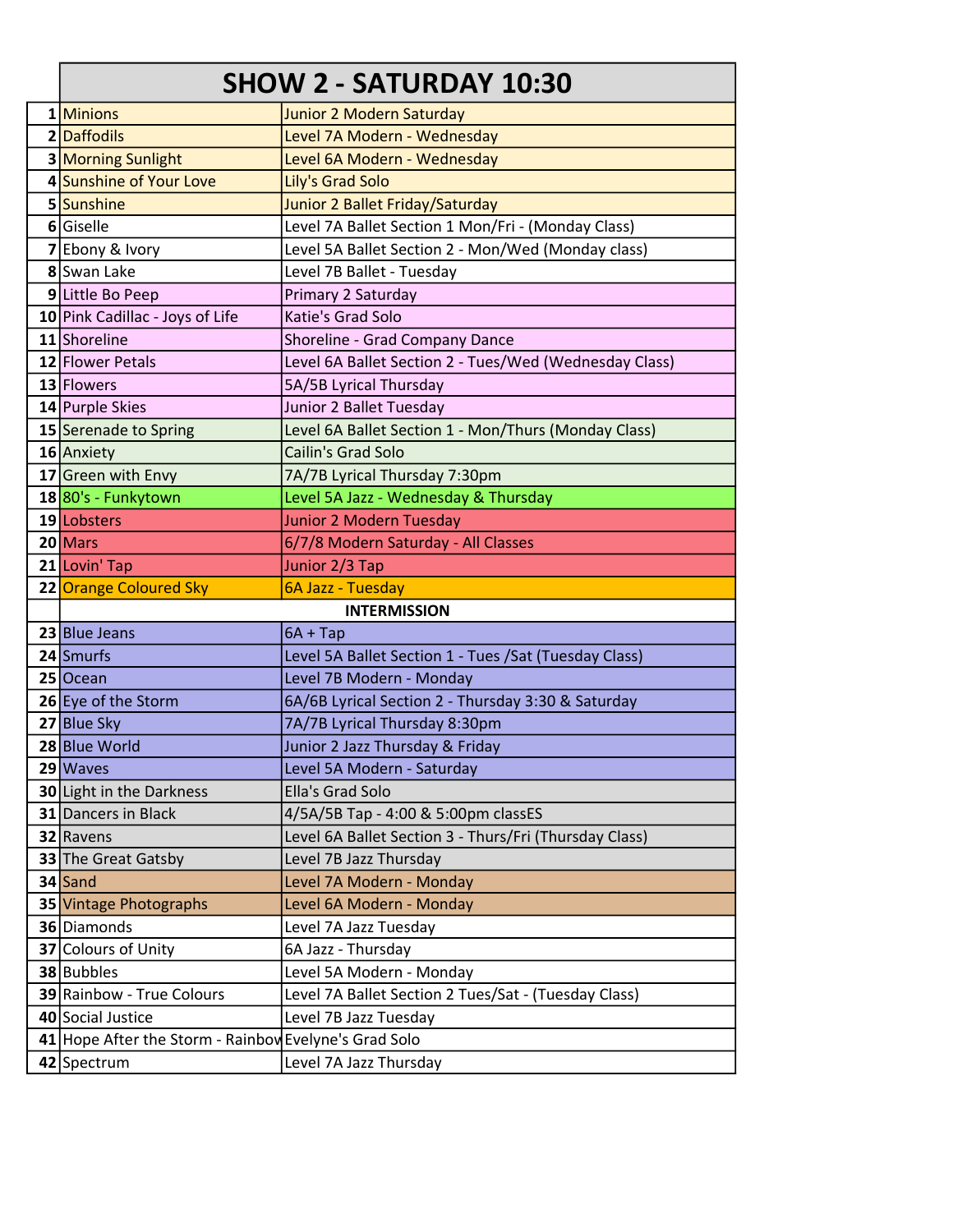# SHOW 2 - SATURDAY 10:30

| 1 Minions                                                            | Junior 2 Modern Saturday                               |  |
|----------------------------------------------------------------------|--------------------------------------------------------|--|
| 2 Daffodils                                                          | Level 7A Modern - Wednesday                            |  |
| 3 Morning Sunlight                                                   | Level 6A Modern - Wednesday                            |  |
| 4 Sunshine of Your Love                                              | Lily's Grad Solo                                       |  |
| 5 Sunshine                                                           | Junior 2 Ballet Friday/Saturday                        |  |
| 6 Giselle                                                            | Level 7A Ballet Section 1 Mon/Fri - (Monday Class)     |  |
| 7 Ebony & Ivory                                                      | Level 5A Ballet Section 2 - Mon/Wed (Monday class)     |  |
| 8 Swan Lake                                                          | Level 7B Ballet - Tuesday                              |  |
| 9 Little Bo Peep                                                     | Primary 2 Saturday                                     |  |
| 10 Pink Cadillac - Joys of Life                                      | Katie's Grad Solo                                      |  |
| 11 Shoreline                                                         | Shoreline - Grad Company Dance                         |  |
| 12 Flower Petals                                                     | Level 6A Ballet Section 2 - Tues/Wed (Wednesday Class) |  |
| 13 Flowers                                                           | 5A/5B Lyrical Thursday                                 |  |
| 14 Purple Skies                                                      | Junior 2 Ballet Tuesday                                |  |
| 15 Serenade to Spring                                                | Level 6A Ballet Section 1 - Mon/Thurs (Monday Class)   |  |
| 16 Anxiety                                                           | Cailin's Grad Solo                                     |  |
| 17 Green with Envy                                                   | 7A/7B Lyrical Thursday 7:30pm                          |  |
| 1880's - Funkytown                                                   | Level 5A Jazz - Wednesday & Thursday                   |  |
| 19 Lobsters                                                          | Junior 2 Modern Tuesday                                |  |
| $20$ Mars                                                            | 6/7/8 Modern Saturday - All Classes                    |  |
| 21 Lovin' Tap                                                        | Junior 2/3 Tap                                         |  |
| 22 Orange Coloured Sky                                               | 6A Jazz - Tuesday                                      |  |
| <b>INTERMISSION</b>                                                  |                                                        |  |
|                                                                      |                                                        |  |
| 23 Blue Jeans                                                        | $6A + Tap$                                             |  |
| 24 Smurfs                                                            | Level 5A Ballet Section 1 - Tues / Sat (Tuesday Class) |  |
| 25 Ocean                                                             | Level 7B Modern - Monday                               |  |
| 26 Eye of the Storm                                                  | 6A/6B Lyrical Section 2 - Thursday 3:30 & Saturday     |  |
| 27 Blue Sky                                                          | 7A/7B Lyrical Thursday 8:30pm                          |  |
| 28 Blue World                                                        | Junior 2 Jazz Thursday & Friday                        |  |
| 29 Waves                                                             | Level 5A Modern - Saturday                             |  |
| 30 Light in the Darkness                                             | Ella's Grad Solo                                       |  |
| 31 Dancers in Black                                                  | 4/5A/5B Tap - 4:00 & 5:00pm classES                    |  |
| 32 Ravens                                                            | Level 6A Ballet Section 3 - Thurs/Fri (Thursday Class) |  |
| 33 The Great Gatsby                                                  | Level 7B Jazz Thursday                                 |  |
| 34 Sand                                                              | Level 7A Modern - Monday                               |  |
| 35 Vintage Photographs                                               | Level 6A Modern - Monday                               |  |
| 36 Diamonds                                                          | Level 7A Jazz Tuesday                                  |  |
| 37 Colours of Unity                                                  | 6A Jazz - Thursday                                     |  |
| 38 Bubbles                                                           | Level 5A Modern - Monday                               |  |
| 39 Rainbow - True Colours                                            | Level 7A Ballet Section 2 Tues/Sat - (Tuesday Class)   |  |
| 40 Social Justice                                                    | Level 7B Jazz Tuesday                                  |  |
| 41 Hope After the Storm - Rainboy Evelyne's Grad Solo<br>42 Spectrum | Level 7A Jazz Thursday                                 |  |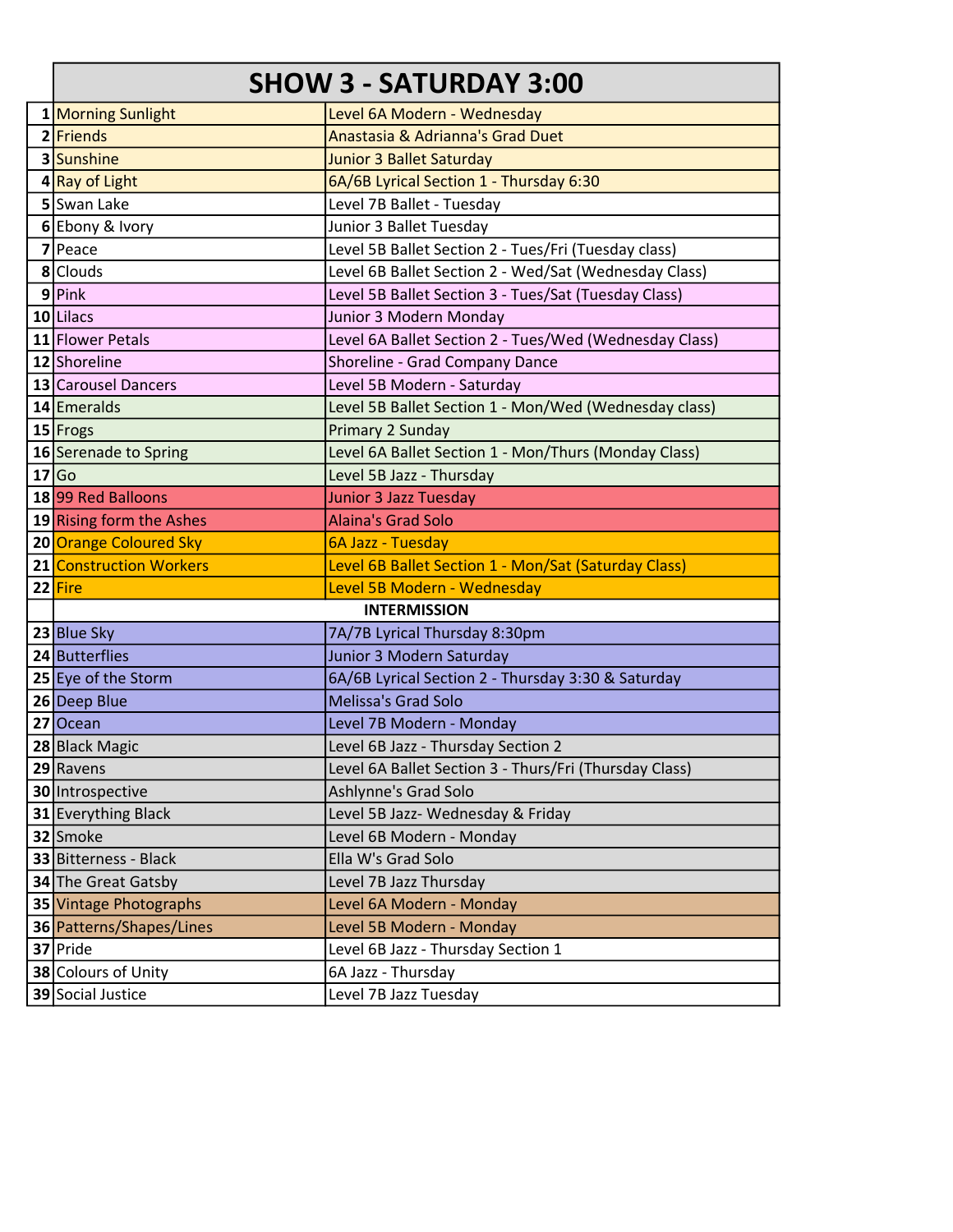### SHOW 3 - SATURDAY 3:00

| 1 Morning Sunlight       | Level 6A Modern - Wednesday                            |
|--------------------------|--------------------------------------------------------|
| 2 Friends                | Anastasia & Adrianna's Grad Duet                       |
| 3 Sunshine               | Junior 3 Ballet Saturday                               |
| 4 Ray of Light           | 6A/6B Lyrical Section 1 - Thursday 6:30                |
| 5 Swan Lake              | Level 7B Ballet - Tuesday                              |
| 6 Ebony & Ivory          | Junior 3 Ballet Tuesday                                |
| 7 Peace                  | Level 5B Ballet Section 2 - Tues/Fri (Tuesday class)   |
| 8 Clouds                 | Level 6B Ballet Section 2 - Wed/Sat (Wednesday Class)  |
| 9 Pink                   | Level 5B Ballet Section 3 - Tues/Sat (Tuesday Class)   |
| 10 Lilacs                | Junior 3 Modern Monday                                 |
| 11 Flower Petals         | Level 6A Ballet Section 2 - Tues/Wed (Wednesday Class) |
| 12 Shoreline             | Shoreline - Grad Company Dance                         |
| 13 Carousel Dancers      | Level 5B Modern - Saturday                             |
| 14 Emeralds              | Level 5B Ballet Section 1 - Mon/Wed (Wednesday class)  |
| 15 Frogs                 | Primary 2 Sunday                                       |
| 16 Serenade to Spring    | Level 6A Ballet Section 1 - Mon/Thurs (Monday Class)   |
| 17 Go                    | Level 5B Jazz - Thursday                               |
| 18 99 Red Balloons       | Junior 3 Jazz Tuesday                                  |
| 19 Rising form the Ashes | <b>Alaina's Grad Solo</b>                              |
| 20 Orange Coloured Sky   | 6A Jazz - Tuesday                                      |
| 21 Construction Workers  | Level 6B Ballet Section 1 - Mon/Sat (Saturday Class)   |
| 22 Fire                  | Level 5B Modern - Wednesday                            |
|                          | <b>INTERMISSION</b>                                    |
| 23 Blue Sky              | 7A/7B Lyrical Thursday 8:30pm                          |
| 24 Butterflies           | Junior 3 Modern Saturday                               |
| 25 Eye of the Storm      | 6A/6B Lyrical Section 2 - Thursday 3:30 & Saturday     |
| 26 Deep Blue             | Melissa's Grad Solo                                    |
| 27 Ocean                 | Level 7B Modern - Monday                               |
| 28 Black Magic           | Level 6B Jazz - Thursday Section 2                     |
| 29 Ravens                | Level 6A Ballet Section 3 - Thurs/Fri (Thursday Class) |
| 30 Introspective         | Ashlynne's Grad Solo                                   |
| 31 Everything Black      | Level 5B Jazz- Wednesday & Friday                      |
| 32 Smoke                 | Level 6B Modern - Monday                               |
| 33 Bitterness - Black    | Ella W's Grad Solo                                     |
| 34 The Great Gatsby      | Level 7B Jazz Thursday                                 |
| 35 Vintage Photographs   | Level 6A Modern - Monday                               |
| 36 Patterns/Shapes/Lines | Level 5B Modern - Monday                               |
| 37 Pride                 | Level 6B Jazz - Thursday Section 1                     |
| 38 Colours of Unity      | 6A Jazz - Thursday                                     |
| 39 Social Justice        | Level 7B Jazz Tuesday                                  |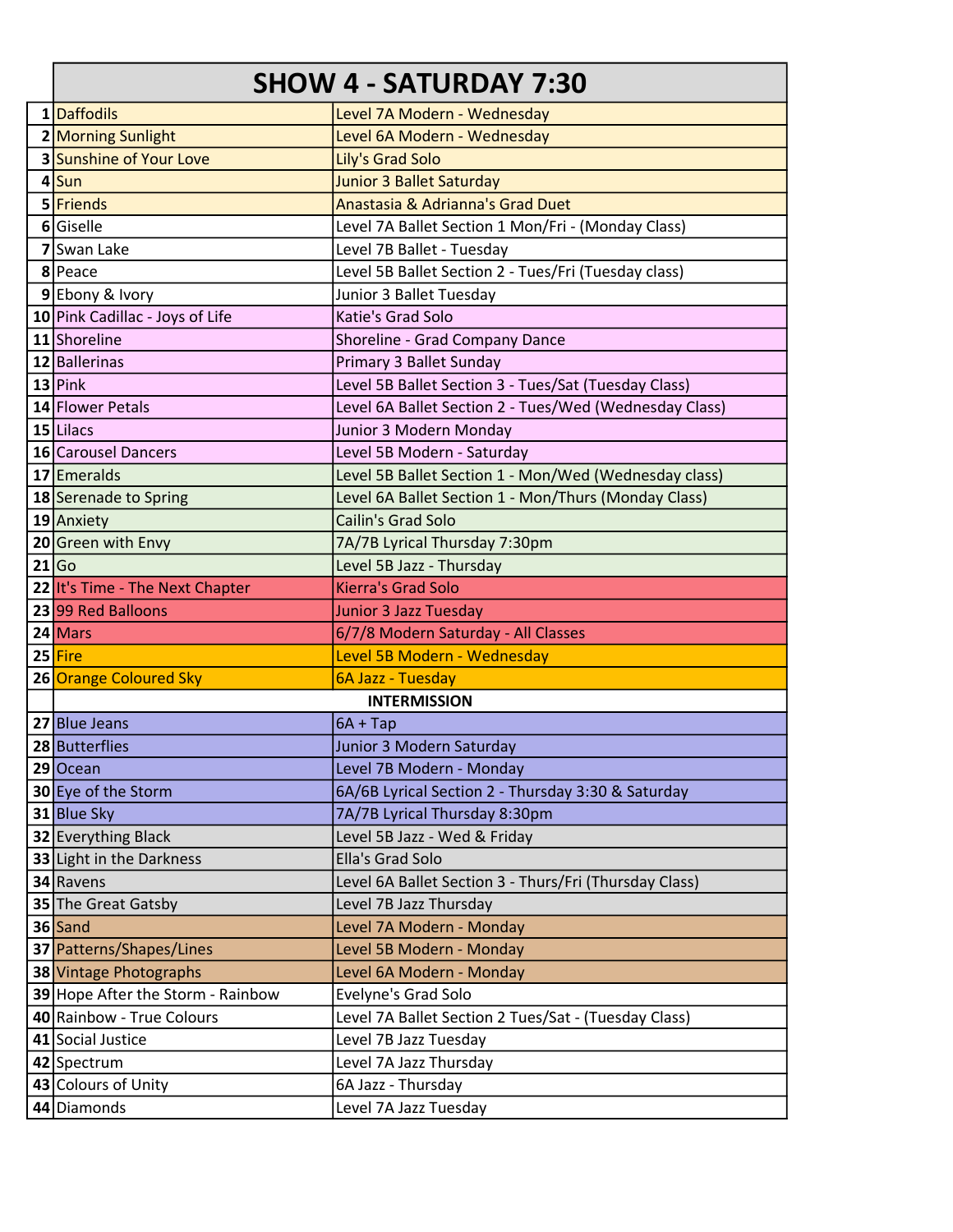### SHOW 4 - SATURDAY 7:30

| 1 Daffodils                       | Level 7A Modern - Wednesday                            |
|-----------------------------------|--------------------------------------------------------|
| 2 Morning Sunlight                | Level 6A Modern - Wednesday                            |
| 3 Sunshine of Your Love           | Lily's Grad Solo                                       |
| $4$ Sun                           | <b>Junior 3 Ballet Saturday</b>                        |
| 5 Friends                         | Anastasia & Adrianna's Grad Duet                       |
| 6 Giselle                         | Level 7A Ballet Section 1 Mon/Fri - (Monday Class)     |
| 7 Swan Lake                       | Level 7B Ballet - Tuesday                              |
| 8 Peace                           | Level 5B Ballet Section 2 - Tues/Fri (Tuesday class)   |
| 9 Ebony & Ivory                   | Junior 3 Ballet Tuesday                                |
| 10 Pink Cadillac - Joys of Life   | Katie's Grad Solo                                      |
| 11 Shoreline                      | Shoreline - Grad Company Dance                         |
| 12 Ballerinas                     | Primary 3 Ballet Sunday                                |
| $13$ Pink                         | Level 5B Ballet Section 3 - Tues/Sat (Tuesday Class)   |
| 14 Flower Petals                  | Level 6A Ballet Section 2 - Tues/Wed (Wednesday Class) |
| $15$ Lilacs                       | Junior 3 Modern Monday                                 |
| 16 Carousel Dancers               | Level 5B Modern - Saturday                             |
| 17 Emeralds                       | Level 5B Ballet Section 1 - Mon/Wed (Wednesday class)  |
| 18 Serenade to Spring             | Level 6A Ballet Section 1 - Mon/Thurs (Monday Class)   |
| 19 Anxiety                        | Cailin's Grad Solo                                     |
| 20 Green with Envy                | 7A/7B Lyrical Thursday 7:30pm                          |
| 21 Go                             | Level 5B Jazz - Thursday                               |
| 22 It's Time - The Next Chapter   | <b>Kierra's Grad Solo</b>                              |
| 23 99 Red Balloons                | <b>Junior 3 Jazz Tuesday</b>                           |
| 24 Mars                           | 6/7/8 Modern Saturday - All Classes                    |
| 25 Fire                           | Level 5B Modern - Wednesday                            |
| 26 Orange Coloured Sky            | 6A Jazz - Tuesday                                      |
|                                   | <b>INTERMISSION</b>                                    |
| 27 Blue Jeans                     | $6A + Tap$                                             |
| 28 Butterflies                    | Junior 3 Modern Saturday                               |
| 29 Ocean                          | Level 7B Modern - Monday                               |
| 30 Eye of the Storm               | 6A/6B Lyrical Section 2 - Thursday 3:30 & Saturday     |
| 31 Blue Sky                       | 7A/7B Lyrical Thursday 8:30pm                          |
| 32 Everything Black               | Level 5B Jazz - Wed & Friday                           |
| 33 Light in the Darkness          | Ella's Grad Solo                                       |
| 34 Ravens                         | Level 6A Ballet Section 3 - Thurs/Fri (Thursday Class) |
| 35 The Great Gatsby               | Level 7B Jazz Thursday                                 |
| 36 Sand                           | Level 7A Modern - Monday                               |
| 37 Patterns/Shapes/Lines          | Level 5B Modern - Monday                               |
| 38 Vintage Photographs            | Level 6A Modern - Monday                               |
| 39 Hope After the Storm - Rainbow | Evelyne's Grad Solo                                    |
| 40 Rainbow - True Colours         | Level 7A Ballet Section 2 Tues/Sat - (Tuesday Class)   |
| 41 Social Justice                 | Level 7B Jazz Tuesday                                  |
| 42 Spectrum                       | Level 7A Jazz Thursday                                 |
| 43 Colours of Unity               | 6A Jazz - Thursday                                     |
| 44 Diamonds                       | Level 7A Jazz Tuesday                                  |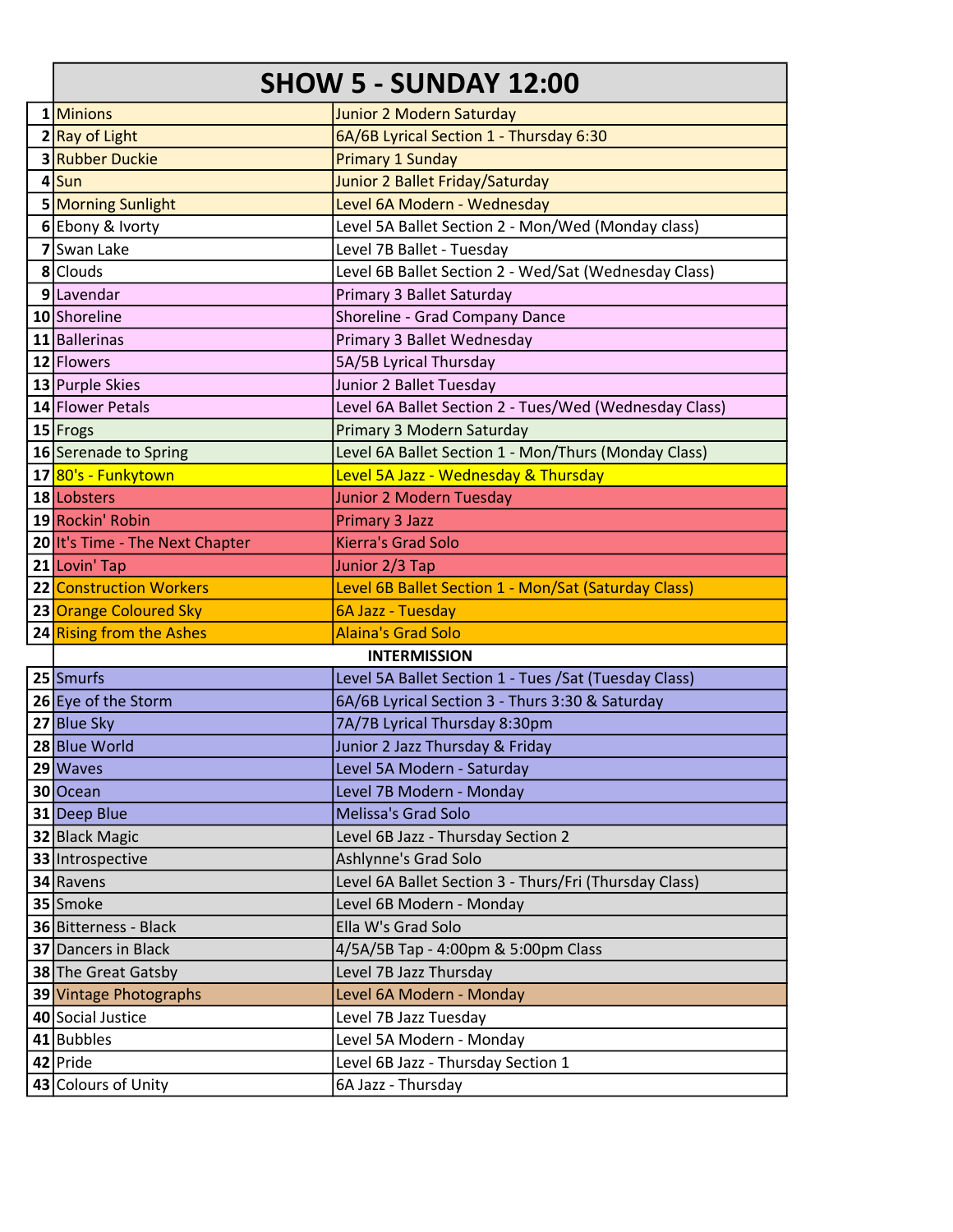#### SHOW 5 - SUNDAY 12:00

| 1 Minions                       | Junior 2 Modern Saturday                               |
|---------------------------------|--------------------------------------------------------|
| 2 Ray of Light                  | 6A/6B Lyrical Section 1 - Thursday 6:30                |
| <b>3 Rubber Duckie</b>          | <b>Primary 1 Sunday</b>                                |
| $4$ Sun                         | Junior 2 Ballet Friday/Saturday                        |
| 5 Morning Sunlight              | Level 6A Modern - Wednesday                            |
| 6 Ebony & Ivorty                | Level 5A Ballet Section 2 - Mon/Wed (Monday class)     |
| 7 Swan Lake                     | Level 7B Ballet - Tuesday                              |
| 8 Clouds                        | Level 6B Ballet Section 2 - Wed/Sat (Wednesday Class)  |
| 9 Lavendar                      | Primary 3 Ballet Saturday                              |
| 10 Shoreline                    | Shoreline - Grad Company Dance                         |
| 11 Ballerinas                   | Primary 3 Ballet Wednesday                             |
| 12 Flowers                      | 5A/5B Lyrical Thursday                                 |
| 13 Purple Skies                 | Junior 2 Ballet Tuesday                                |
| 14 Flower Petals                | Level 6A Ballet Section 2 - Tues/Wed (Wednesday Class) |
| $15$ Frogs                      | Primary 3 Modern Saturday                              |
| 16 Serenade to Spring           | Level 6A Ballet Section 1 - Mon/Thurs (Monday Class)   |
| 17 80's - Funkytown             | Level 5A Jazz - Wednesday & Thursday                   |
| 18 Lobsters                     | Junior 2 Modern Tuesday                                |
| 19 Rockin' Robin                | <b>Primary 3 Jazz</b>                                  |
| 20 It's Time - The Next Chapter | <b>Kierra's Grad Solo</b>                              |
| 21 Lovin' Tap                   | Junior 2/3 Tap                                         |
| 22 Construction Workers         | Level 6B Ballet Section 1 - Mon/Sat (Saturday Class)   |
|                                 |                                                        |
| 23 Orange Coloured Sky          | 6A Jazz - Tuesday                                      |
| 24 Rising from the Ashes        | <b>Alaina's Grad Solo</b>                              |
|                                 | <b>INTERMISSION</b>                                    |
| 25 Smurfs                       | Level 5A Ballet Section 1 - Tues / Sat (Tuesday Class) |
| 26 Eye of the Storm             | 6A/6B Lyrical Section 3 - Thurs 3:30 & Saturday        |
| 27 Blue Sky                     | 7A/7B Lyrical Thursday 8:30pm                          |
| 28 Blue World                   | Junior 2 Jazz Thursday & Friday                        |
| $29$ Waves                      | Level 5A Modern - Saturday                             |
| 30 Ocean                        | Level 7B Modern - Monday                               |
| 31 Deep Blue                    | <b>Melissa's Grad Solo</b>                             |
| 32 Black Magic                  | Level 6B Jazz - Thursday Section 2                     |
| 33 Introspective                | Ashlynne's Grad Solo                                   |
| 34 Ravens                       | Level 6A Ballet Section 3 - Thurs/Fri (Thursday Class) |
| 35 Smoke                        | Level 6B Modern - Monday                               |
| 36 Bitterness - Black           | Ella W's Grad Solo                                     |
| <b>37 Dancers in Black</b>      | 4/5A/5B Tap - 4:00pm & 5:00pm Class                    |
| 38 The Great Gatsby             | Level 7B Jazz Thursday                                 |
| 39 Vintage Photographs          | Level 6A Modern - Monday                               |
| 40 Social Justice               | Level 7B Jazz Tuesday                                  |
| 41 Bubbles                      | Level 5A Modern - Monday                               |
| 42 Pride<br>43 Colours of Unity | Level 6B Jazz - Thursday Section 1                     |